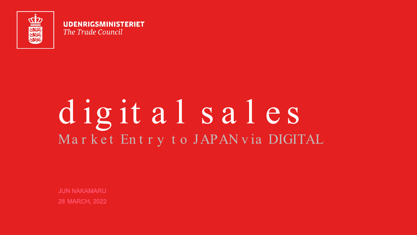

UDENRIGSMINISTERIET The Trade Council

# digit al sal es Market Entry to JAPANvia DIGITAL

**JUN NAKAMARU 28 MARCH, 2022**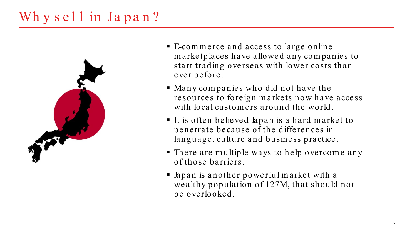## Why sell in Japan?



- E-com m erce and access to large online m arketplaces have allowed any com panies to start trading overseas with lower costs than ever before.
- Many com panies who did not have the resources to foreign m arkets now have access with local customers around the world.
- It is often believed Japan is a hard market to penetrate because of the differences in language, culture and business practice.
- There are m ultiple ways to help overcom e any of those barriers.
- Japan is another powerful m arket with a wealthy population of 127M, that should not be overlooked.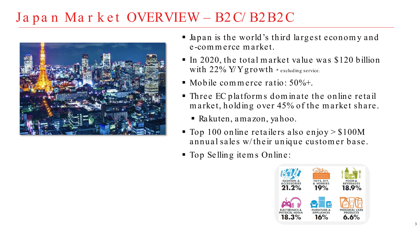### Japan Market OVERVIEW – B2C/B2B2C



- Japan is the world's third largest econom y and e -commerce market.
- In 2020, the total market value was  $$120$  billion with  $22\%$  Y/Y growth \* excluding service.
- $\blacksquare$  Mobile commerce ratio: 50%+.
- Three EC platform s dom inate the online retail m arket, holding over 45% of the m arket share.
	- Rakuten, a ma zon, ya hoo.
- $\blacksquare$  Top 100 online retailers also enjoy > \$100M annual sales w/ their unique custom er base.
- Top Selling item s Online:

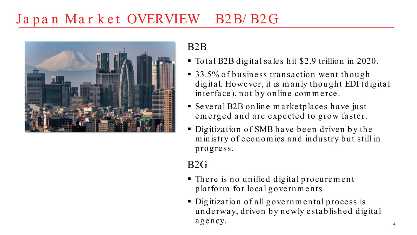### Japan Market OVERVIEW - B2B/B2G



#### B2B

- Total B2B digital sales hit \$2.9 trillion in 2020.
- 33.5% of business transaction went though digital. However, it is m anly thought EDI (digital interface), not by online com m erce.
- Several B2B online m arketplaces have just em erged and are expected to grow faster.
- Digitization of SMB have been driven by the m inistry of econom ics and industry but still in progress.

#### B2G

- There is no unified digital procurem ent platform for local governm ents
- Digitization of all governmental process is underway, driven by newly established digital agency.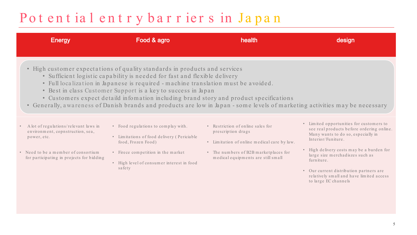### Pot ent ial entry barriers in Japan

| <b>Energy</b>                                                                                                                                                                                                                                                                                                                                                                                                                                                                                                                            | Food & agro                                                                                                                                                                                          | health                                                                                                                                                                                | design                                                                                                                                                                                                                                                                                                                                                         |  |  |  |  |  |  |
|------------------------------------------------------------------------------------------------------------------------------------------------------------------------------------------------------------------------------------------------------------------------------------------------------------------------------------------------------------------------------------------------------------------------------------------------------------------------------------------------------------------------------------------|------------------------------------------------------------------------------------------------------------------------------------------------------------------------------------------------------|---------------------------------------------------------------------------------------------------------------------------------------------------------------------------------------|----------------------------------------------------------------------------------------------------------------------------------------------------------------------------------------------------------------------------------------------------------------------------------------------------------------------------------------------------------------|--|--|--|--|--|--|
| • High customer expectations of quality standards in products and services<br>• Sufficient logistic capability is needed for fast and flexible delivery<br>· Full localization in Japanese is required - machine translation must be avoided.<br>• Best in class Customer Support is a key to success in Japan<br>• Customers expect detaild infomation including brand story and product specifications<br>• Generally, awareness of Danish brands and products are low in Japan - some levels of marketing activities may be necessary |                                                                                                                                                                                                      |                                                                                                                                                                                       |                                                                                                                                                                                                                                                                                                                                                                |  |  |  |  |  |  |
| A lot of regulations/relevant laws in<br>$\;$<br>environment, copnstruction, sea,<br>power, etc.<br>• Need to be a member of consortium<br>for participating in projects for bidding                                                                                                                                                                                                                                                                                                                                                     | • Food regulations to complay with.<br>• Limitations of food delivery (Periciable<br>food, Frozen Food)<br>• Firece competition in the market<br>• High level of consumer interest in food<br>safety | • Restriction of online sales for<br>prescription drags<br>• Limitation of online medical care by law.<br>• The numbers of B2B marketplaces for<br>medical equipments are still small | • Limited opportunities for customers to<br>see real products before ordering online.<br>Many wants to do so, especially in<br>Interior/Funiture.<br>• High delivery costs may be a burden for<br>large size merchadiszes such as<br>furniture.<br>• Our current distribution partners are<br>relatively small and have limited access<br>to large EC channels |  |  |  |  |  |  |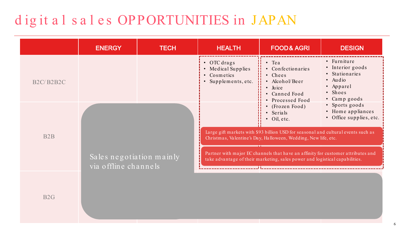## digit als ales OPPORTUNITIES in JAPAN

|                                                  | <b>ENERGY</b>                                    | <b>TECH</b> | <b>HEALTH</b>                                                                                                                                                                                                                                                                        | <b>FOOD&amp; AGRI</b>                                                                                                        | <b>DESIGN</b>                                                                                                |
|--------------------------------------------------|--------------------------------------------------|-------------|--------------------------------------------------------------------------------------------------------------------------------------------------------------------------------------------------------------------------------------------------------------------------------------|------------------------------------------------------------------------------------------------------------------------------|--------------------------------------------------------------------------------------------------------------|
| B <sub>2</sub> C/B <sub>2</sub> B <sub>2</sub> C |                                                  |             | • OTC drags<br>• Medical Supplies<br>• Cosmetics<br>• Supplements, etc.                                                                                                                                                                                                              | ₩<br>$\bullet$ Tea<br>• Confectionaries<br>• Chees<br>• Alcohol/Beer<br>$\bullet$ Juice<br>• Canned Food<br>• Processed Food | • Furniture<br>• Interior goods<br>• Stationaries<br>$\bullet$ Audio<br>• Apparel<br>· Shoes<br>• Camp goods |
| B <sub>2</sub> B                                 | Sales negotiation mainly<br>via offline channels |             | • Sports goods<br>$\bullet$ (Frozen Food)<br>• Home appliances<br>• Serials<br>• Office supplies, etc.<br>$\bullet$ Oil, etc.<br>Large gift markets with \$93 billion USD for seasonal and cultural events such as<br>Christmas, Valentine's Day, Halloween, Wedding, New life, etc. |                                                                                                                              |                                                                                                              |
|                                                  |                                                  |             | Partner with major EC channels that have an affinity for customer attributes and<br>take advantage of their marketing, sales power and logistical capabilities.<br>المامان والمامان والماري فالماري والماري والماري والمرادي                                                         |                                                                                                                              |                                                                                                              |
| B2G                                              |                                                  |             |                                                                                                                                                                                                                                                                                      |                                                                                                                              |                                                                                                              |